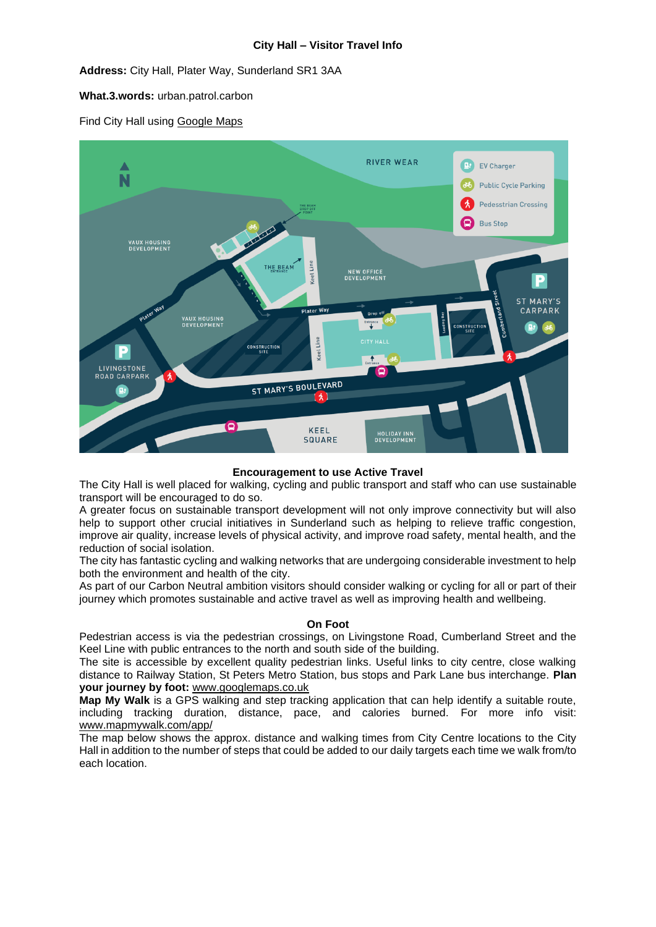**Address:** City Hall, Plater Way, Sunderland SR1 3AA

**What.3.words:** urban.patrol.carbon

Find City Hall using [Google Maps](https://www.google.com/maps/place/Sunderland+City+Council+City+Hall/@54.9082407,-1.3873955,17z/data=!3m1!4b1!4m5!3m4!1s0x487e672f3f6d1c71:0xfdc85545fd1d927e!8m2!3d54.9082379!4d-1.3853885)



# **Encouragement to use Active Travel**

The City Hall is well placed for walking, cycling and public transport and staff who can use sustainable transport will be encouraged to do so.

A greater focus on sustainable transport development will not only improve connectivity but will also help to support other crucial initiatives in Sunderland such as helping to relieve traffic congestion, improve air quality, increase levels of physical activity, and improve road safety, mental health, and the reduction of social isolation.

The city has fantastic cycling and walking networks that are undergoing considerable investment to help both the environment and health of the city.

As part of our Carbon Neutral ambition visitors should consider walking or cycling for all or part of their journey which promotes sustainable and active travel as well as improving health and wellbeing.

# **On Foot**

Pedestrian access is via the pedestrian crossings, on Livingstone Road, Cumberland Street and the Keel Line with public entrances to the north and south side of the building.

The site is accessible by excellent quality pedestrian links. Useful links to city centre, close walking distance to Railway Station, St Peters Metro Station, bus stops and Park Lane bus interchange. **Plan your journey by foot:** [www.googlemaps.co.uk](http://www.googlemaps.co.uk/)

**Map My Walk** is a GPS walking and step tracking application that can help identify a suitable route, including tracking duration, distance, pace, and calories burned. For more info visit: [www.mapmywalk.com/app/](http://www.mapmywalk.com/app/)

The map below shows the approx. distance and walking times from City Centre locations to the City Hall in addition to the number of steps that could be added to our daily targets each time we walk from/to each location.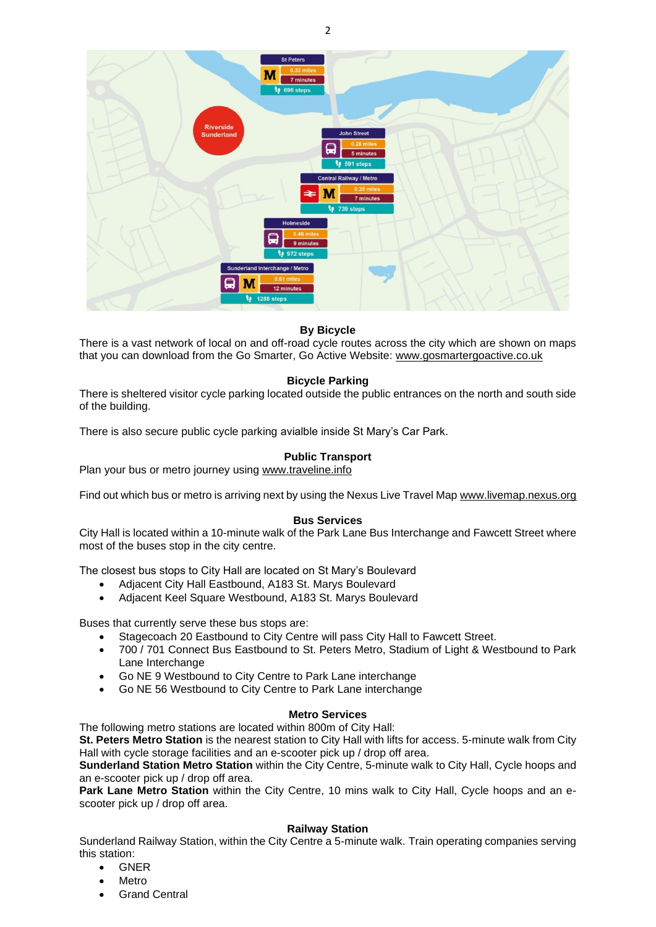

# **By Bicycle**

There is a vast network of local on and off-road cycle routes across the city which are shown on maps that you can download from the Go Smarter, Go Active Website: [www.gosmartergoactive.co.uk](http://www.gosmartergoactive.co.uk/)

## **Bicycle Parking**

There is sheltered visitor cycle parking located outside the public entrances on the north and south side of the building.

There is also secure public cycle parking avialble inside St Mary's Car Park.

# **Public Transport**

Plan your bus or metro journey using [www.traveline.info](http://www.traveline.info/)

Find out which bus or metro is arriving next by using the Nexus Live Travel Ma[p www.livemap.nexus.org](http://www.livemap.nexus.org/)

#### **Bus Services**

City Hall is located within a 10-minute walk of the Park Lane Bus Interchange and Fawcett Street where most of the buses stop in the city centre.

The closest bus stops to City Hall are located on St Mary's Boulevard

- Adjacent City Hall Eastbound, A183 St. Marys Boulevard
- Adjacent Keel Square Westbound, A183 St. Marys Boulevard

Buses that currently serve these bus stops are:

- Stagecoach 20 Eastbound to City Centre will pass City Hall to Fawcett Street.
- 700 / 701 Connect Bus Eastbound to St. Peters Metro, Stadium of Light & Westbound to Park Lane Interchange
- Go NE 9 Westbound to City Centre to Park Lane interchange
- Go NE 56 Westbound to City Centre to Park Lane interchange

#### **Metro Services**

The following metro stations are located within 800m of City Hall:

**St. Peters Metro Station** is the nearest station to City Hall with lifts for access. 5-minute walk from City Hall with cycle storage facilities and an e-scooter pick up / drop off area.

**Sunderland Station Metro Station** within the City Centre, 5-minute walk to City Hall, Cycle hoops and an e-scooter pick up / drop off area.

**Park Lane Metro Station** within the City Centre, 10 mins walk to City Hall, Cycle hoops and an escooter pick up / drop off area.

#### **Railway Station**

Sunderland Railway Station, within the City Centre a 5-minute walk. Train operating companies serving this station:

- GNER
- Metro
- **Grand Central**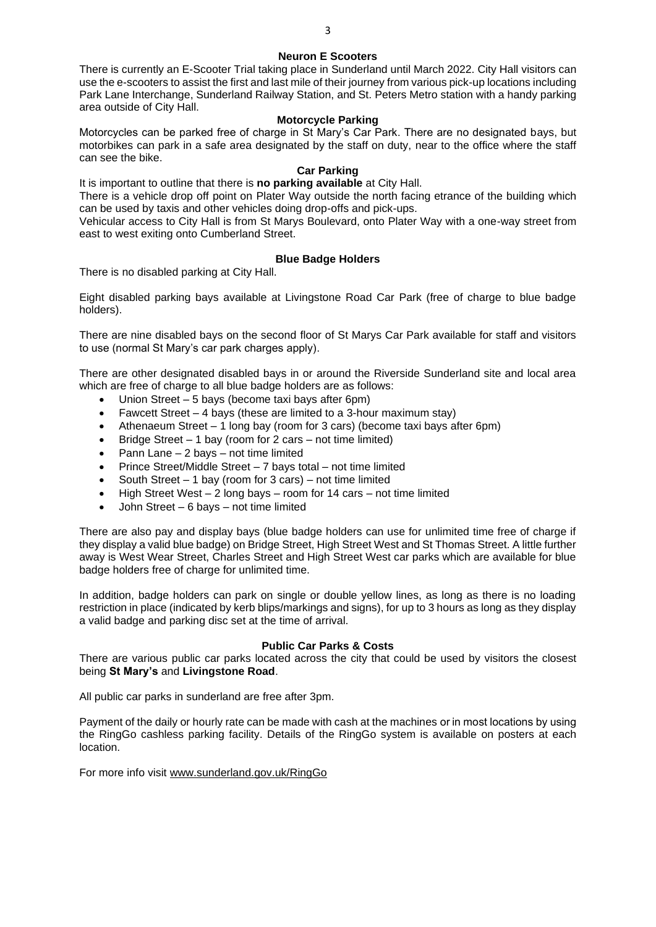## **Neuron E Scooters**

There is currently an E-Scooter Trial taking place in Sunderland until March 2022. City Hall visitors can use the e-scooters to assist the first and last mile of their journey from various pick-up locations including Park Lane Interchange, Sunderland Railway Station, and St. Peters Metro station with a handy parking area outside of City Hall.

### **Motorcycle Parking**

Motorcycles can be parked free of charge in St Mary's Car Park. There are no designated bays, but motorbikes can park in a safe area designated by the staff on duty, near to the office where the staff can see the bike.

### **Car Parking**

It is important to outline that there is **no parking available** at City Hall.

There is a vehicle drop off point on Plater Way outside the north facing etrance of the building which can be used by taxis and other vehicles doing drop-offs and pick-ups.

Vehicular access to City Hall is from St Marys Boulevard, onto Plater Way with a one-way street from east to west exiting onto Cumberland Street.

## **Blue Badge Holders**

There is no disabled parking at City Hall.

Eight disabled parking bays available at Livingstone Road Car Park (free of charge to blue badge holders).

There are nine disabled bays on the second floor of St Marys Car Park available for staff and visitors to use (normal St Mary's car park charges apply).

There are other designated disabled bays in or around the Riverside Sunderland site and local area which are free of charge to all blue badge holders are as follows:

- Union Street 5 bays (become taxi bays after 6pm)
- Fawcett Street  $-4$  bays (these are limited to a 3-hour maximum stay)
- Athenaeum Street 1 long bay (room for 3 cars) (become taxi bays after 6pm)
- Bridge Street 1 bay (room for 2 cars not time limited)
- Pann Lane  $-2$  bays  $-$  not time limited
- Prince Street/Middle Street 7 bays total not time limited
- South Street  $-1$  bay (room for 3 cars) not time limited
- High Street West 2 long bays room for 14 cars not time limited
- John Street 6 bays not time limited

There are also pay and display bays (blue badge holders can use for unlimited time free of charge if they display a valid blue badge) on Bridge Street, High Street West and St Thomas Street. A little further away is West Wear Street, Charles Street and High Street West car parks which are available for blue badge holders free of charge for unlimited time.

In addition, badge holders can park on single or double yellow lines, as long as there is no loading restriction in place (indicated by kerb blips/markings and signs), for up to 3 hours as long as they display a valid badge and parking disc set at the time of arrival.

#### **Public Car Parks & Costs**

There are various public car parks located across the city that could be used by visitors the closest being **St Mary's** and **Livingstone Road**.

All public car parks in sunderland are free after 3pm.

Payment of the daily or hourly rate can be made with cash at the machines or in most locations by using the RingGo cashless parking facility. Details of the RingGo system is available on posters at each location.

For more info visit [www.sunderland.gov.uk/RingGo](http://www.sunderland.gov.uk/RingGo)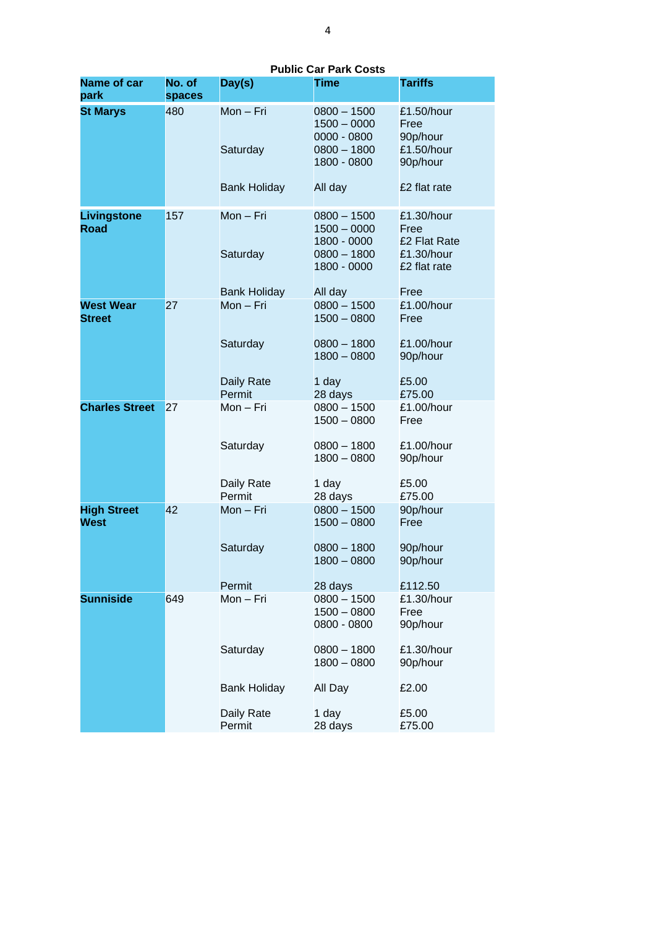|                                   |                  |                             | ar 1 ann vv                                                                   |                                                          |
|-----------------------------------|------------------|-----------------------------|-------------------------------------------------------------------------------|----------------------------------------------------------|
| <b>Name of car</b><br>park        | No. of<br>spaces | Day(s)                      | <b>Time</b>                                                                   | <b>Tariffs</b>                                           |
| <b>St Marys</b>                   | 480              | Mon - Fri<br>Saturday       | $0800 - 1500$<br>$1500 - 0000$<br>0000 - 0800<br>$0800 - 1800$<br>1800 - 0800 | £1.50/hour<br>Free<br>90p/hour<br>£1.50/hour<br>90p/hour |
|                                   |                  | <b>Bank Holiday</b>         | All day                                                                       | £2 flat rate                                             |
| Livingstone<br>Road               | 157              | Mon - Fri                   | $0800 - 1500$<br>$1500 - 0000$<br>1800 - 0000<br>$0800 - 1800$                | £1.30/hour<br>Free<br>£2 Flat Rate<br>£1.30/hour         |
|                                   |                  | Saturday                    | 1800 - 0000                                                                   | £2 flat rate                                             |
|                                   |                  | <b>Bank Holiday</b>         | All day                                                                       | Free                                                     |
| <b>West Wear</b><br><b>Street</b> | 27               | Mon - Fri                   | $0800 - 1500$<br>$1500 - 0800$                                                | £1.00/hour<br>Free                                       |
|                                   |                  | Saturday                    | $0800 - 1800$<br>$1800 - 0800$                                                | £1.00/hour<br>90p/hour                                   |
|                                   |                  | <b>Daily Rate</b><br>Permit | 1 day<br>28 days                                                              | £5.00<br>£75.00                                          |
| <b>Charles Street</b>             | 27               | Mon - Fri                   | $0800 - 1500$<br>$1500 - 0800$                                                | £1.00/hour<br>Free                                       |
|                                   |                  | Saturday                    | $0800 - 1800$<br>$1800 - 0800$                                                | £1.00/hour<br>90p/hour                                   |
|                                   |                  | Daily Rate<br>Permit        | 1 day<br>28 days                                                              | £5.00<br>£75.00                                          |
| <b>High Street</b><br>West        | 42               | Mon - Fri                   | $0800 - 1500$<br>$1500 - 0800$                                                | 90p/hour<br>Free                                         |
|                                   |                  | Saturday                    | $0800 - 1800$<br>$1800 - 0800$                                                | 90p/hour<br>90p/hour                                     |
|                                   |                  |                             |                                                                               |                                                          |
|                                   |                  | Permit                      | 28 days                                                                       | £112.50                                                  |
| <b>Sunniside</b>                  | 649              | Mon - Fri                   | $0800 - 1500$<br>$1500 - 0800$<br>0800 - 0800                                 | £1.30/hour<br>Free<br>90p/hour                           |
|                                   |                  | Saturday                    | $0800 - 1800$<br>$1800 - 0800$                                                | £1.30/hour<br>90p/hour                                   |
|                                   |                  | <b>Bank Holiday</b>         | All Day                                                                       | £2.00                                                    |
|                                   |                  | Daily Rate<br>Permit        | 1 day<br>28 days                                                              | £5.00<br>£75.00                                          |

**Public Car Park Costs**